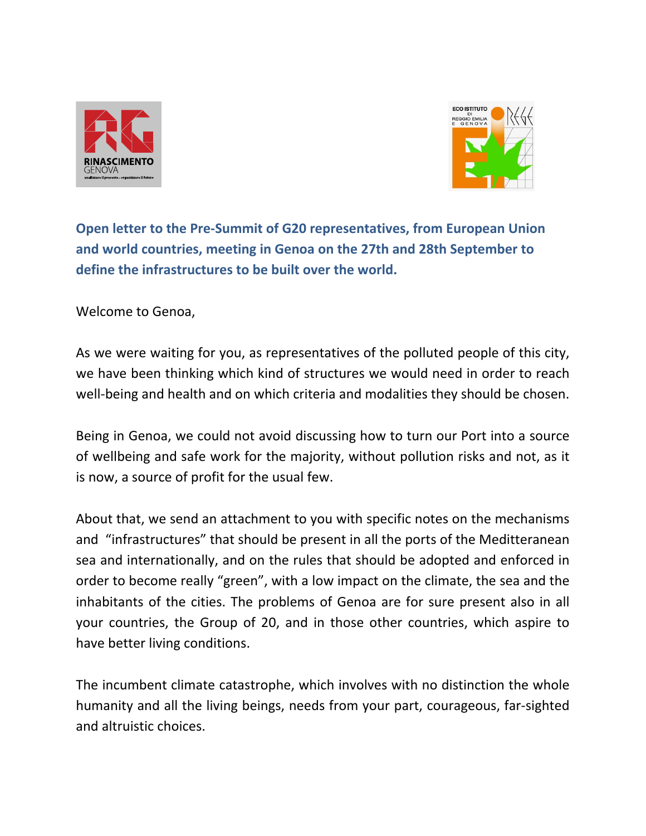



 **Open letter to the Pre-Summit of G20 representatives, from European Union and world countries, meeting in Genoa on the 27th and 28th September to define the infrastructures to be built over the world.** 

Welcome to Genoa,

As we were waiting for you, as representatives of the polluted people of this city, we have been thinking which kind of structures we would need in order to reach well-being and health and on which criteria and modalities they should be chosen.

Being in Genoa, we could not avoid discussing how to turn our Port into a source of wellbeing and safe work for the majority, without pollution risks and not, as it is now, a source of profit for the usual few.

About that, we send an attachment to you with specific notes on the mechanisms and "infrastructures" that should be present in all the ports of the Meditteranean sea and internationally, and on the rules that should be adopted and enforced in order to become really "green", with a low impact on the climate, the sea and the inhabitants of the cities. The problems of Genoa are for sure present also in all your countries, the Group of 20, and in those other countries, which aspire to have better living conditions.

The incumbent climate catastrophe, which involves with no distinction the whole humanity and all the living beings, needs from your part, courageous, far-sighted and altruistic choices.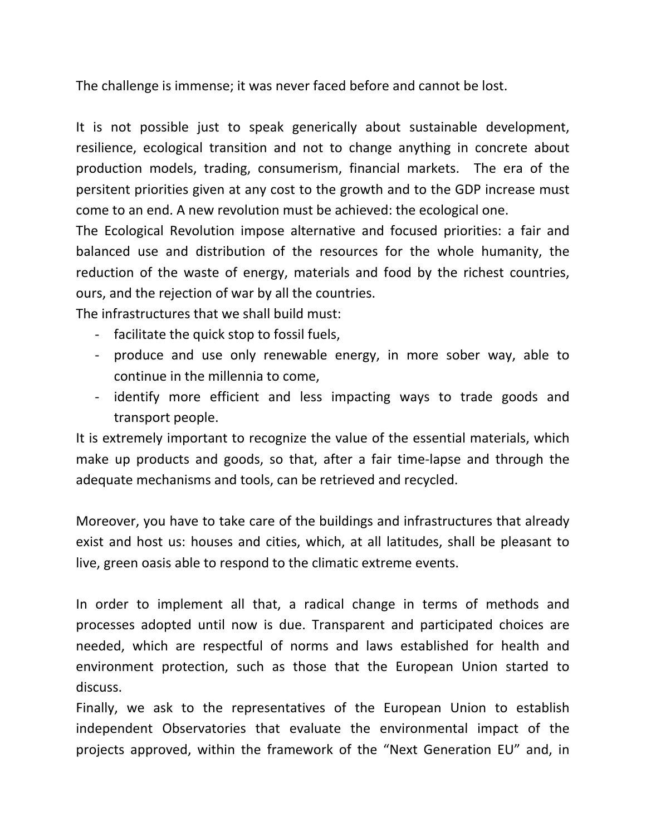The challenge is immense; it was never faced before and cannot be lost.

It is not possible just to speak generically about sustainable development, resilience, ecological transition and not to change anything in concrete about production models, trading, consumerism, financial markets. The era of the persitent priorities given at any cost to the growth and to the GDP increase must come to an end. A new revolution must be achieved: the ecological one.

The Ecological Revolution impose alternative and focused priorities: a fair and balanced use and distribution of the resources for the whole humanity, the reduction of the waste of energy, materials and food by the richest countries, ours, and the rejection of war by all the countries.

The infrastructures that we shall build must:

- facilitate the quick stop to fossil fuels,
- produce and use only renewable energy, in more sober way, able to continue in the millennia to come,
- identify more efficient and less impacting ways to trade goods and transport people.

It is extremely important to recognize the value of the essential materials, which make up products and goods, so that, after a fair time-lapse and through the adequate mechanisms and tools, can be retrieved and recycled.

Moreover, you have to take care of the buildings and infrastructures that already exist and host us: houses and cities, which, at all latitudes, shall be pleasant to live, green oasis able to respond to the climatic extreme events.

In order to implement all that, a radical change in terms of methods and processes adopted until now is due. Transparent and participated choices are needed, which are respectful of norms and laws established for health and environment protection, such as those that the European Union started to discuss.

Finally, we ask to the representatives of the European Union to establish independent Observatories that evaluate the environmental impact of the projects approved, within the framework of the "Next Generation EU" and, in